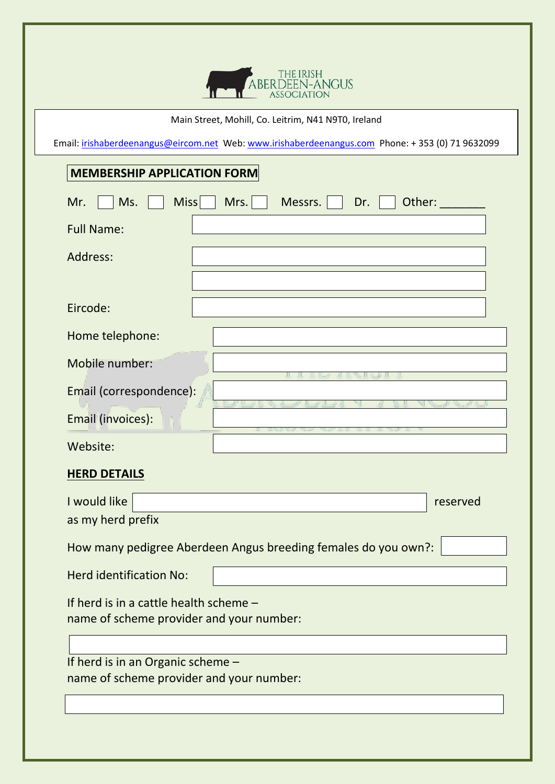

## Main Street, Mohill, Co. Leitrim, N41 N9T0, Ireland

Email: irishaberdeenangus@eircom.net Web: www.irishaberdeenangus.com Phone: +353 (0) 71 9632099

## **MEMBERSHIP APPLICATION FORM**

| <b>Miss</b><br>Mrs.<br>Ms.<br>Other:<br>Mr.<br>Messrs.<br>Dr.                      |  |  |  |  |
|------------------------------------------------------------------------------------|--|--|--|--|
| <b>Full Name:</b>                                                                  |  |  |  |  |
| Address:                                                                           |  |  |  |  |
|                                                                                    |  |  |  |  |
| Eircode:                                                                           |  |  |  |  |
| Home telephone:                                                                    |  |  |  |  |
| Mobile number:                                                                     |  |  |  |  |
| Email (correspondence):                                                            |  |  |  |  |
| Email (invoices):                                                                  |  |  |  |  |
| Website:                                                                           |  |  |  |  |
| <b>HERD DETAILS</b>                                                                |  |  |  |  |
| I would like<br>reserved                                                           |  |  |  |  |
| as my herd prefix                                                                  |  |  |  |  |
| How many pedigree Aberdeen Angus breeding females do you own?:                     |  |  |  |  |
| <b>Herd identification No:</b>                                                     |  |  |  |  |
| If herd is in a cattle health scheme -<br>name of scheme provider and your number: |  |  |  |  |
|                                                                                    |  |  |  |  |
| If herd is in an Organic scheme -<br>name of scheme provider and your number:      |  |  |  |  |
|                                                                                    |  |  |  |  |
|                                                                                    |  |  |  |  |